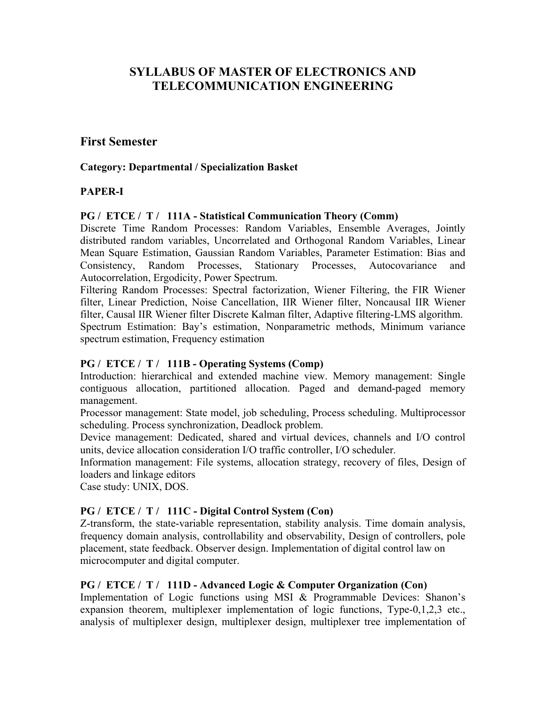# **SYLLABUS OF MASTER OF ELECTRONICS AND TELECOMMUNICATION ENGINEERING**

## **First Semester**

#### **Category: Departmental / Specialization Basket**

### **PAPER-I**

#### **PG / ETCE / T / 111A - Statistical Communication Theory (Comm)**

Discrete Time Random Processes: Random Variables, Ensemble Averages, Jointly distributed random variables, Uncorrelated and Orthogonal Random Variables, Linear Mean Square Estimation, Gaussian Random Variables, Parameter Estimation: Bias and Consistency, Random Processes, Stationary Processes, Autocovariance and Autocorrelation, Ergodicity, Power Spectrum.

Filtering Random Processes: Spectral factorization, Wiener Filtering, the FIR Wiener filter, Linear Prediction, Noise Cancellation, IIR Wiener filter, Noncausal IIR Wiener filter, Causal IIR Wiener filter Discrete Kalman filter, Adaptive filtering-LMS algorithm. Spectrum Estimation: Bay's estimation, Nonparametric methods, Minimum variance spectrum estimation, Frequency estimation

#### **PG / ETCE / T / 111B - Operating Systems (Comp)**

Introduction: hierarchical and extended machine view. Memory management: Single contiguous allocation, partitioned allocation. Paged and demand-paged memory management.

Processor management: State model, job scheduling, Process scheduling. Multiprocessor scheduling. Process synchronization, Deadlock problem.

Device management: Dedicated, shared and virtual devices, channels and I/O control units, device allocation consideration I/O traffic controller, I/O scheduler.

Information management: File systems, allocation strategy, recovery of files, Design of loaders and linkage editors

Case study: UNIX, DOS.

#### **PG / ETCE / T / 111C - Digital Control System (Con)**

Z-transform, the state-variable representation, stability analysis. Time domain analysis, frequency domain analysis, controllability and observability, Design of controllers, pole placement, state feedback. Observer design. Implementation of digital control law on microcomputer and digital computer.

#### **PG / ETCE / T / 111D - Advanced Logic & Computer Organization (Con)**

Implementation of Logic functions using MSI & Programmable Devices: Shanon's expansion theorem, multiplexer implementation of logic functions, Type-0,1,2,3 etc., analysis of multiplexer design, multiplexer design, multiplexer tree implementation of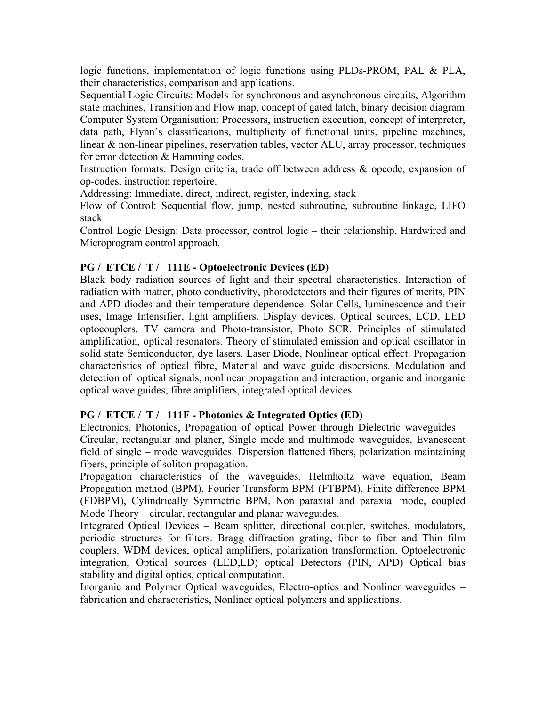logic functions, implementation of logic functions using PLDs-PROM, PAL & PLA, their characteristics, comparison and applications.

Sequential Logic Circuits: Models for synchronous and asynchronous circuits, Algorithm state machines, Transition and Flow map, concept of gated latch, binary decision diagram Computer System Organisation: Processors, instruction execution, concept of interpreter, data path, Flynn's classifications, multiplicity of functional units, pipeline machines, linear & non-linear pipelines, reservation tables, vector ALU, array processor, techniques for error detection & Hamming codes.

Instruction formats: Design criteria, trade off between address & opcode, expansion of op-codes, instruction repertoire.

Addressing: Immediate, direct, indirect, register, indexing, stack

Flow of Control: Sequential flow, jump, nested subroutine, subroutine linkage, LIFO stack

Control Logic Design: Data processor, control logic – their relationship, Hardwired and Microprogram control approach.

### **PG / ETCE / T / 111E - Optoelectronic Devices (ED)**

Black body radiation sources of light and their spectral characteristics. Interaction of radiation with matter, photo conductivity, photodetectors and their figures of merits, PIN and APD diodes and their temperature dependence. Solar Cells, luminescence and their uses, Image Intensifier, light amplifiers. Display devices. Optical sources, LCD, LED optocouplers. TV camera and Photo-transistor, Photo SCR. Principles of stimulated amplification, optical resonators. Theory of stimulated emission and optical oscillator in solid state Semiconductor, dye lasers. Laser Diode, Nonlinear optical effect. Propagation characteristics of optical fibre, Material and wave guide dispersions. Modulation and detection of optical signals, nonlinear propagation and interaction, organic and inorganic optical wave guides, fibre amplifiers, integrated optical devices.

### **PG / ETCE / T / 111F - Photonics & Integrated Optics (ED)**

Electronics, Photonics, Propagation of optical Power through Dielectric waveguides – Circular, rectangular and planer, Single mode and multimode waveguides, Evanescent field of single – mode waveguides. Dispersion flattened fibers, polarization maintaining fibers, principle of soliton propagation.

Propagation characteristics of the waveguides, Helmholtz wave equation, Beam Propagation method (BPM), Fourier Transform BPM (FTBPM), Finite difference BPM (FDBPM), Cylindrically Symmetric BPM, Non paraxial and paraxial mode, coupled Mode Theory – circular, rectangular and planar waveguides.

Integrated Optical Devices – Beam splitter, directional coupler, switches, modulators, periodic structures for filters. Bragg diffraction grating, fiber to fiber and Thin film couplers. WDM devices, optical amplifiers, polarization transformation. Optoelectronic integration, Optical sources (LED,LD) optical Detectors (PIN, APD) Optical bias stability and digital optics, optical computation.

Inorganic and Polymer Optical waveguides, Electro-optics and Nonliner waveguides – fabrication and characteristics, Nonliner optical polymers and applications.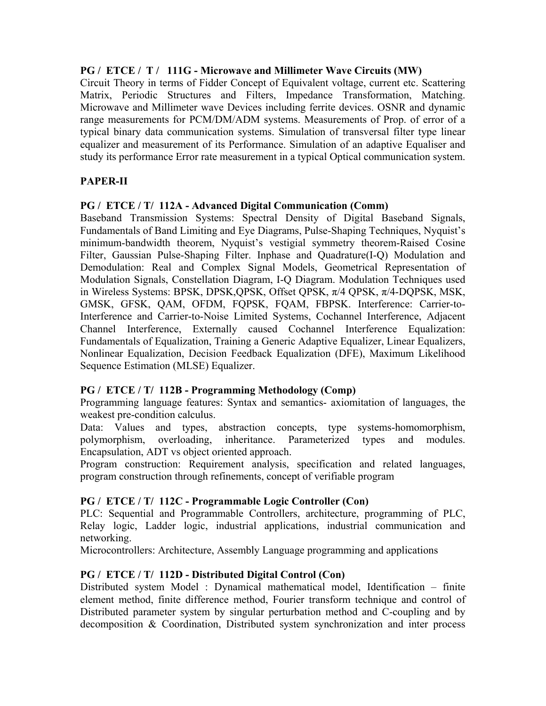### **PG / ETCE / T / 111G - Microwave and Millimeter Wave Circuits (MW)**

Circuit Theory in terms of Fidder Concept of Equivalent voltage, current etc. Scattering Matrix, Periodic Structures and Filters, Impedance Transformation, Matching. Microwave and Millimeter wave Devices including ferrite devices. OSNR and dynamic range measurements for PCM/DM/ADM systems. Measurements of Prop. of error of a typical binary data communication systems. Simulation of transversal filter type linear equalizer and measurement of its Performance. Simulation of an adaptive Equaliser and study its performance Error rate measurement in a typical Optical communication system.

### **PAPER-II**

### **PG / ETCE / T/ 112A - Advanced Digital Communication (Comm)**

Baseband Transmission Systems: Spectral Density of Digital Baseband Signals, Fundamentals of Band Limiting and Eye Diagrams, Pulse-Shaping Techniques, Nyquist's minimum-bandwidth theorem, Nyquist's vestigial symmetry theorem-Raised Cosine Filter, Gaussian Pulse-Shaping Filter. Inphase and Quadrature(I-Q) Modulation and Demodulation: Real and Complex Signal Models, Geometrical Representation of Modulation Signals, Constellation Diagram, I-Q Diagram. Modulation Techniques used in Wireless Systems: BPSK, DPSK,QPSK, Offset QPSK, π/4 QPSK, π/4-DQPSK, MSK, GMSK, GFSK, QAM, OFDM, FQPSK, FQAM, FBPSK. Interference: Carrier-to-Interference and Carrier-to-Noise Limited Systems, Cochannel Interference, Adjacent Channel Interference, Externally caused Cochannel Interference Equalization: Fundamentals of Equalization, Training a Generic Adaptive Equalizer, Linear Equalizers, Nonlinear Equalization, Decision Feedback Equalization (DFE), Maximum Likelihood Sequence Estimation (MLSE) Equalizer.

### **PG / ETCE / T/ 112B - Programming Methodology (Comp)**

Programming language features: Syntax and semantics- axiomitation of languages, the weakest pre-condition calculus.

Data: Values and types, abstraction concepts, type systems-homomorphism, polymorphism, overloading, inheritance. Parameterized types and modules. Encapsulation, ADT vs object oriented approach.

Program construction: Requirement analysis, specification and related languages, program construction through refinements, concept of verifiable program

#### **PG / ETCE / T/ 112C - Programmable Logic Controller (Con)**

PLC: Sequential and Programmable Controllers, architecture, programming of PLC, Relay logic, Ladder logic, industrial applications, industrial communication and networking.

Microcontrollers: Architecture, Assembly Language programming and applications

### **PG / ETCE / T/ 112D - Distributed Digital Control (Con)**

Distributed system Model : Dynamical mathematical model, Identification – finite element method, finite difference method, Fourier transform technique and control of Distributed parameter system by singular perturbation method and C-coupling and by decomposition & Coordination, Distributed system synchronization and inter process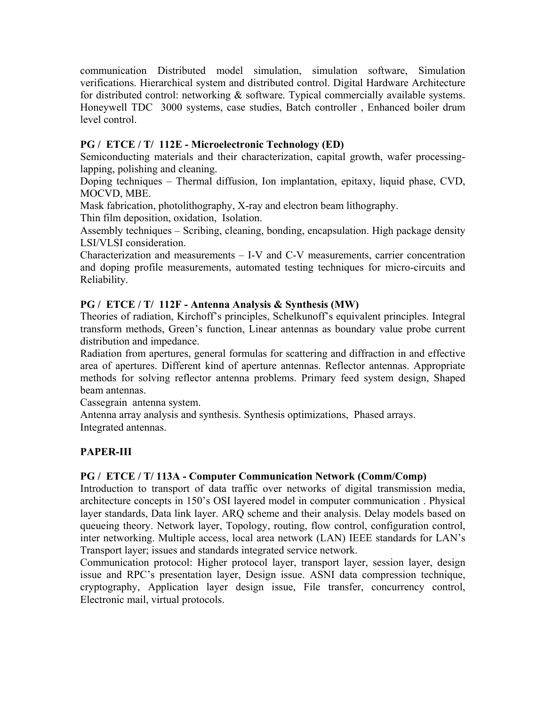communication Distributed model simulation, simulation software, Simulation verifications. Hierarchical system and distributed control. Digital Hardware Architecture for distributed control: networking & software. Typical commercially available systems. Honeywell TDC 3000 systems, case studies, Batch controller , Enhanced boiler drum level control.

### **PG / ETCE / T/ 112E - Microelectronic Technology (ED)**

Semiconducting materials and their characterization, capital growth, wafer processinglapping, polishing and cleaning.

Doping techniques – Thermal diffusion, Ion implantation, epitaxy, liquid phase, CVD, MOCVD, MBE.

Mask fabrication, photolithography, X-ray and electron beam lithography.

Thin film deposition, oxidation, Isolation.

Assembly techniques – Scribing, cleaning, bonding, encapsulation. High package density LSI/VLSI consideration.

Characterization and measurements – I-V and C-V measurements, carrier concentration and doping profile measurements, automated testing techniques for micro-circuits and Reliability.

### **PG / ETCE / T/ 112F - Antenna Analysis & Synthesis (MW)**

Theories of radiation, Kirchoff's principles, Schelkunoff's equivalent principles. Integral transform methods, Green's function, Linear antennas as boundary value probe current distribution and impedance.

Radiation from apertures, general formulas for scattering and diffraction in and effective area of apertures. Different kind of aperture antennas. Reflector antennas. Appropriate methods for solving reflector antenna problems. Primary feed system design, Shaped beam antennas.

Cassegrain antenna system.

Antenna array analysis and synthesis. Synthesis optimizations, Phased arrays. Integrated antennas.

# **PAPER-III**

### **PG / ETCE / T/ 113A - Computer Communication Network (Comm/Comp)**

Introduction to transport of data traffic over networks of digital transmission media, architecture concepts in 150's OSI layered model in computer communication . Physical layer standards, Data link layer. ARQ scheme and their analysis. Delay models based on queueing theory. Network layer, Topology, routing, flow control, configuration control, inter networking. Multiple access, local area network (LAN) IEEE standards for LAN's Transport layer; issues and standards integrated service network.

Communication protocol: Higher protocol layer, transport layer, session layer, design issue and RPC's presentation layer, Design issue. ASNI data compression technique, cryptography, Application layer design issue, File transfer, concurrency control, Electronic mail, virtual protocols.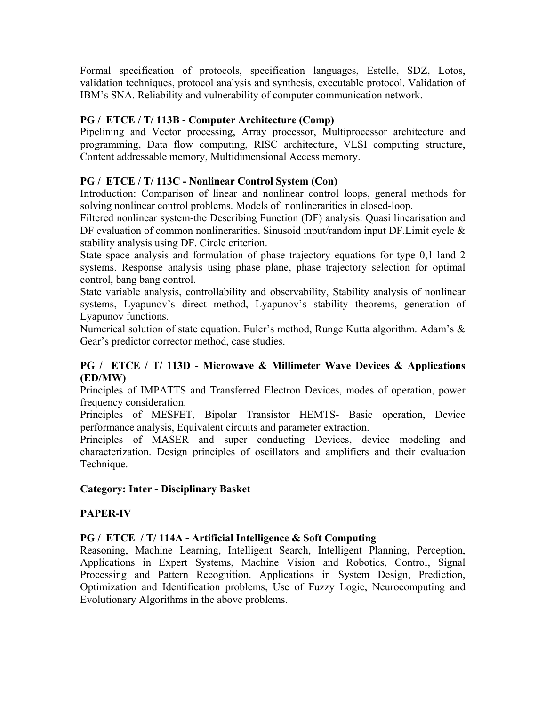Formal specification of protocols, specification languages, Estelle, SDZ, Lotos, validation techniques, protocol analysis and synthesis, executable protocol. Validation of IBM's SNA. Reliability and vulnerability of computer communication network.

### **PG / ETCE / T/ 113B - Computer Architecture (Comp)**

Pipelining and Vector processing, Array processor, Multiprocessor architecture and programming, Data flow computing, RISC architecture, VLSI computing structure, Content addressable memory, Multidimensional Access memory.

### **PG / ETCE / T/ 113C - Nonlinear Control System (Con)**

Introduction: Comparison of linear and nonlinear control loops, general methods for solving nonlinear control problems. Models of nonlinerarities in closed-loop.

Filtered nonlinear system-the Describing Function (DF) analysis. Quasi linearisation and DF evaluation of common nonlinerarities. Sinusoid input/random input DF. Limit cycle & stability analysis using DF. Circle criterion.

State space analysis and formulation of phase trajectory equations for type 0,1 land 2 systems. Response analysis using phase plane, phase trajectory selection for optimal control, bang bang control.

State variable analysis, controllability and observability, Stability analysis of nonlinear systems, Lyapunov's direct method, Lyapunov's stability theorems, generation of Lyapunov functions.

Numerical solution of state equation. Euler's method, Runge Kutta algorithm. Adam's & Gear's predictor corrector method, case studies.

### **PG / ETCE / T/ 113D - Microwave & Millimeter Wave Devices & Applications (ED/MW)**

Principles of IMPATTS and Transferred Electron Devices, modes of operation, power frequency consideration.

Principles of MESFET, Bipolar Transistor HEMTS- Basic operation, Device performance analysis, Equivalent circuits and parameter extraction.

Principles of MASER and super conducting Devices, device modeling and characterization. Design principles of oscillators and amplifiers and their evaluation Technique.

### **Category: Inter - Disciplinary Basket**

### **PAPER-IV**

### **PG / ETCE / T/ 114A - Artificial Intelligence & Soft Computing**

Reasoning, Machine Learning, Intelligent Search, Intelligent Planning, Perception, Applications in Expert Systems, Machine Vision and Robotics, Control, Signal Processing and Pattern Recognition. Applications in System Design, Prediction, Optimization and Identification problems, Use of Fuzzy Logic, Neurocomputing and Evolutionary Algorithms in the above problems.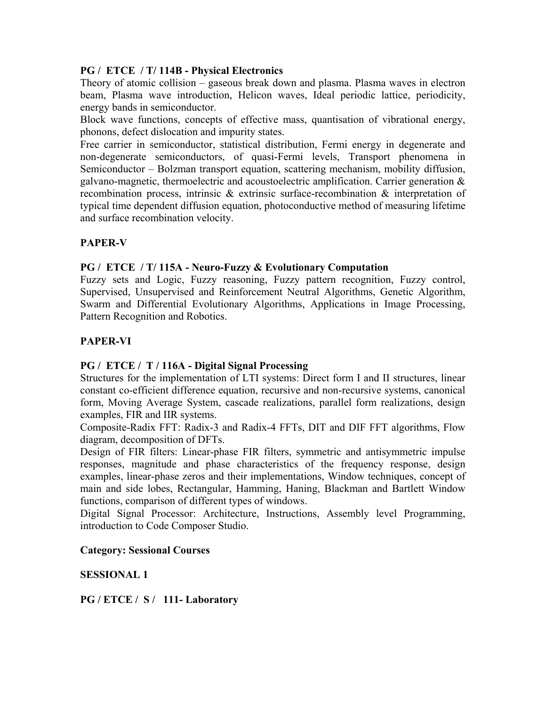### **PG / ETCE / T/ 114B - Physical Electronics**

Theory of atomic collision – gaseous break down and plasma. Plasma waves in electron beam, Plasma wave introduction, Helicon waves, Ideal periodic lattice, periodicity, energy bands in semiconductor.

Block wave functions, concepts of effective mass, quantisation of vibrational energy, phonons, defect dislocation and impurity states.

Free carrier in semiconductor, statistical distribution, Fermi energy in degenerate and non-degenerate semiconductors, of quasi-Fermi levels, Transport phenomena in Semiconductor – Bolzman transport equation, scattering mechanism, mobility diffusion, galvano-magnetic, thermoelectric and acoustoelectric amplification. Carrier generation & recombination process, intrinsic & extrinsic surface-recombination & interpretation of typical time dependent diffusion equation, photoconductive method of measuring lifetime and surface recombination velocity.

### **PAPER-V**

### **PG / ETCE / T/ 115A - Neuro-Fuzzy & Evolutionary Computation**

Fuzzy sets and Logic, Fuzzy reasoning, Fuzzy pattern recognition, Fuzzy control, Supervised, Unsupervised and Reinforcement Neutral Algorithms, Genetic Algorithm, Swarm and Differential Evolutionary Algorithms, Applications in Image Processing, Pattern Recognition and Robotics.

### **PAPER-VI**

### **PG / ETCE / T / 116A - Digital Signal Processing**

Structures for the implementation of LTI systems: Direct form I and II structures, linear constant co-efficient difference equation, recursive and non-recursive systems, canonical form, Moving Average System, cascade realizations, parallel form realizations, design examples, FIR and IIR systems.

Composite-Radix FFT: Radix-3 and Radix-4 FFTs, DIT and DIF FFT algorithms, Flow diagram, decomposition of DFTs.

Design of FIR filters: Linear-phase FIR filters, symmetric and antisymmetric impulse responses, magnitude and phase characteristics of the frequency response, design examples, linear-phase zeros and their implementations, Window techniques, concept of main and side lobes, Rectangular, Hamming, Haning, Blackman and Bartlett Window functions, comparison of different types of windows.

Digital Signal Processor: Architecture, Instructions, Assembly level Programming, introduction to Code Composer Studio.

#### **Category: Sessional Courses**

### **SESSIONAL 1**

#### **PG / ETCE / S / 111- Laboratory**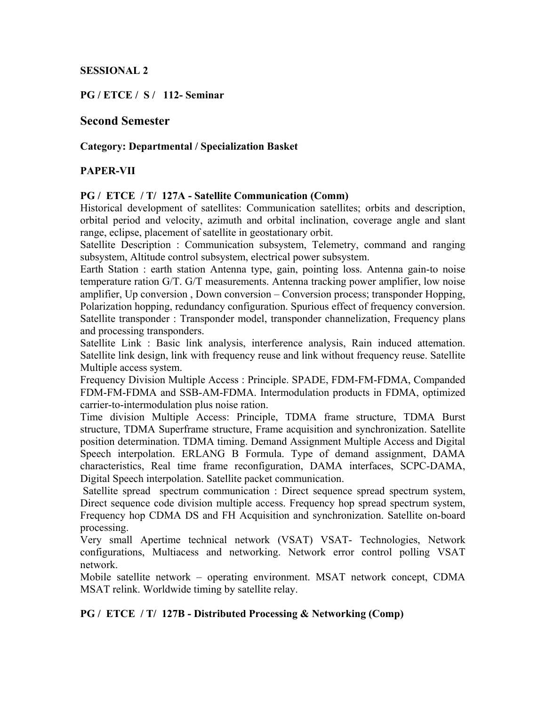### **SESSIONAL 2**

**PG / ETCE / S / 112- Seminar** 

### **Second Semester**

### **Category: Departmental / Specialization Basket**

### **PAPER-VII**

#### **PG / ETCE / T/ 127A - Satellite Communication (Comm)**

Historical development of satellites: Communication satellites; orbits and description, orbital period and velocity, azimuth and orbital inclination, coverage angle and slant range, eclipse, placement of satellite in geostationary orbit.

Satellite Description : Communication subsystem, Telemetry, command and ranging subsystem, Altitude control subsystem, electrical power subsystem.

Earth Station : earth station Antenna type, gain, pointing loss. Antenna gain-to noise temperature ration G/T. G/T measurements. Antenna tracking power amplifier, low noise amplifier, Up conversion , Down conversion – Conversion process; transponder Hopping, Polarization hopping, redundancy configuration. Spurious effect of frequency conversion. Satellite transponder : Transponder model, transponder channelization, Frequency plans and processing transponders.

Satellite Link : Basic link analysis, interference analysis, Rain induced attemation. Satellite link design, link with frequency reuse and link without frequency reuse. Satellite Multiple access system.

Frequency Division Multiple Access : Principle. SPADE, FDM-FM-FDMA, Companded FDM-FM-FDMA and SSB-AM-FDMA. Intermodulation products in FDMA, optimized carrier-to-intermodulation plus noise ration.

Time division Multiple Access: Principle, TDMA frame structure, TDMA Burst structure, TDMA Superframe structure, Frame acquisition and synchronization. Satellite position determination. TDMA timing. Demand Assignment Multiple Access and Digital Speech interpolation. ERLANG B Formula. Type of demand assignment, DAMA characteristics, Real time frame reconfiguration, DAMA interfaces, SCPC-DAMA, Digital Speech interpolation. Satellite packet communication.

 Satellite spread spectrum communication : Direct sequence spread spectrum system, Direct sequence code division multiple access. Frequency hop spread spectrum system, Frequency hop CDMA DS and FH Acquisition and synchronization. Satellite on-board processing.

Very small Apertime technical network (VSAT) VSAT- Technologies, Network configurations, Multiacess and networking. Network error control polling VSAT network.

Mobile satellite network – operating environment. MSAT network concept, CDMA MSAT relink. Worldwide timing by satellite relay.

#### **PG / ETCE / T/ 127B - Distributed Processing & Networking (Comp)**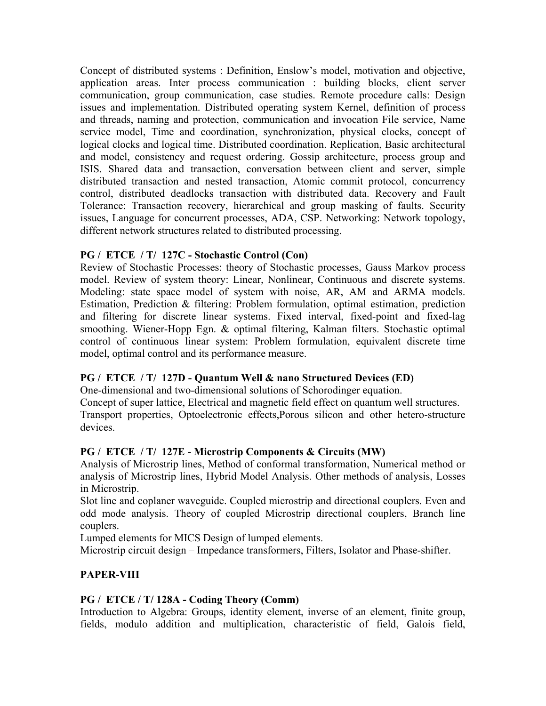Concept of distributed systems : Definition, Enslow's model, motivation and objective, application areas. Inter process communication : building blocks, client server communication, group communication, case studies. Remote procedure calls: Design issues and implementation. Distributed operating system Kernel, definition of process and threads, naming and protection, communication and invocation File service, Name service model, Time and coordination, synchronization, physical clocks, concept of logical clocks and logical time. Distributed coordination. Replication, Basic architectural and model, consistency and request ordering. Gossip architecture, process group and ISIS. Shared data and transaction, conversation between client and server, simple distributed transaction and nested transaction, Atomic commit protocol, concurrency control, distributed deadlocks transaction with distributed data. Recovery and Fault Tolerance: Transaction recovery, hierarchical and group masking of faults. Security issues, Language for concurrent processes, ADA, CSP. Networking: Network topology, different network structures related to distributed processing.

### **PG / ETCE / T/ 127C - Stochastic Control (Con)**

Review of Stochastic Processes: theory of Stochastic processes, Gauss Markov process model. Review of system theory: Linear, Nonlinear, Continuous and discrete systems. Modeling: state space model of system with noise, AR, AM and ARMA models. Estimation, Prediction & filtering: Problem formulation, optimal estimation, prediction and filtering for discrete linear systems. Fixed interval, fixed-point and fixed-lag smoothing. Wiener-Hopp Egn. & optimal filtering, Kalman filters. Stochastic optimal control of continuous linear system: Problem formulation, equivalent discrete time model, optimal control and its performance measure.

### **PG / ETCE / T/ 127D - Quantum Well & nano Structured Devices (ED)**

One-dimensional and two-dimensional solutions of Schorodinger equation.

Concept of super lattice, Electrical and magnetic field effect on quantum well structures. Transport properties, Optoelectronic effects,Porous silicon and other hetero-structure devices.

# **PG / ETCE / T/ 127E - Microstrip Components & Circuits (MW)**

Analysis of Microstrip lines, Method of conformal transformation, Numerical method or analysis of Microstrip lines, Hybrid Model Analysis. Other methods of analysis, Losses in Microstrip.

Slot line and coplaner waveguide. Coupled microstrip and directional couplers. Even and odd mode analysis. Theory of coupled Microstrip directional couplers, Branch line couplers.

Lumped elements for MICS Design of lumped elements.

Microstrip circuit design – Impedance transformers, Filters, Isolator and Phase-shifter.

# **PAPER-VIII**

# **PG / ETCE / T/ 128A - Coding Theory (Comm)**

Introduction to Algebra: Groups, identity element, inverse of an element, finite group, fields, modulo addition and multiplication, characteristic of field, Galois field,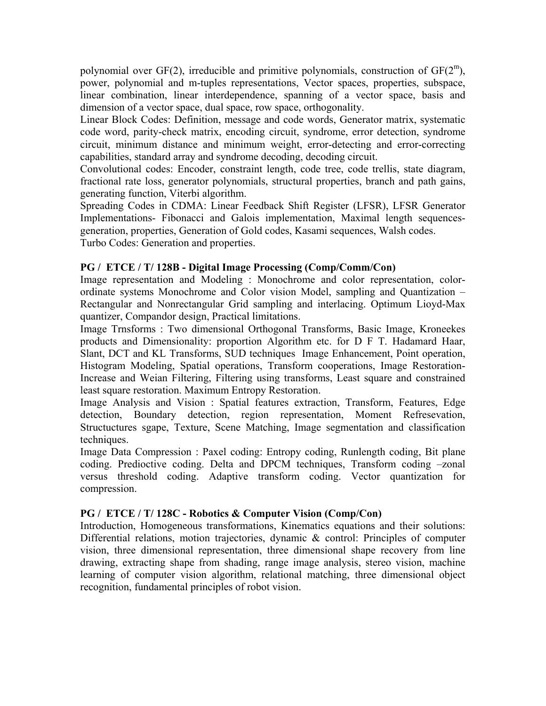polynomial over  $GF(2)$ , irreducible and primitive polynomials, construction of  $GF(2<sup>m</sup>)$ , power, polynomial and m-tuples representations, Vector spaces, properties, subspace, linear combination, linear interdependence, spanning of a vector space, basis and dimension of a vector space, dual space, row space, orthogonality.

Linear Block Codes: Definition, message and code words, Generator matrix, systematic code word, parity-check matrix, encoding circuit, syndrome, error detection, syndrome circuit, minimum distance and minimum weight, error-detecting and error-correcting capabilities, standard array and syndrome decoding, decoding circuit.

Convolutional codes: Encoder, constraint length, code tree, code trellis, state diagram, fractional rate loss, generator polynomials, structural properties, branch and path gains, generating function, Viterbi algorithm.

Spreading Codes in CDMA: Linear Feedback Shift Register (LFSR), LFSR Generator Implementations- Fibonacci and Galois implementation, Maximal length sequencesgeneration, properties, Generation of Gold codes, Kasami sequences, Walsh codes. Turbo Codes: Generation and properties.

### **PG / ETCE / T/ 128B - Digital Image Processing (Comp/Comm/Con)**

Image representation and Modeling : Monochrome and color representation, colorordinate systems Monochrome and Color vision Model, sampling and Quantization – Rectangular and Nonrectangular Grid sampling and interlacing. Optimum Lioyd-Max quantizer, Compandor design, Practical limitations.

Image Trnsforms : Two dimensional Orthogonal Transforms, Basic Image, Kroneekes products and Dimensionality: proportion Algorithm etc. for D F T. Hadamard Haar, Slant, DCT and KL Transforms, SUD techniques Image Enhancement, Point operation, Histogram Modeling, Spatial operations, Transform cooperations, Image Restoration-Increase and Weian Filtering, Filtering using transforms, Least square and constrained least square restoration. Maximum Entropy Restoration.

Image Analysis and Vision : Spatial features extraction, Transform, Features, Edge detection, Boundary detection, region representation, Moment Refresevation, Structuctures sgape, Texture, Scene Matching, Image segmentation and classification techniques.

Image Data Compression : Paxel coding: Entropy coding, Runlength coding, Bit plane coding. Predioctive coding. Delta and DPCM techniques, Transform coding –zonal versus threshold coding. Adaptive transform coding. Vector quantization for compression.

### **PG / ETCE / T/ 128C - Robotics & Computer Vision (Comp/Con)**

Introduction, Homogeneous transformations, Kinematics equations and their solutions: Differential relations, motion trajectories, dynamic & control: Principles of computer vision, three dimensional representation, three dimensional shape recovery from line drawing, extracting shape from shading, range image analysis, stereo vision, machine learning of computer vision algorithm, relational matching, three dimensional object recognition, fundamental principles of robot vision.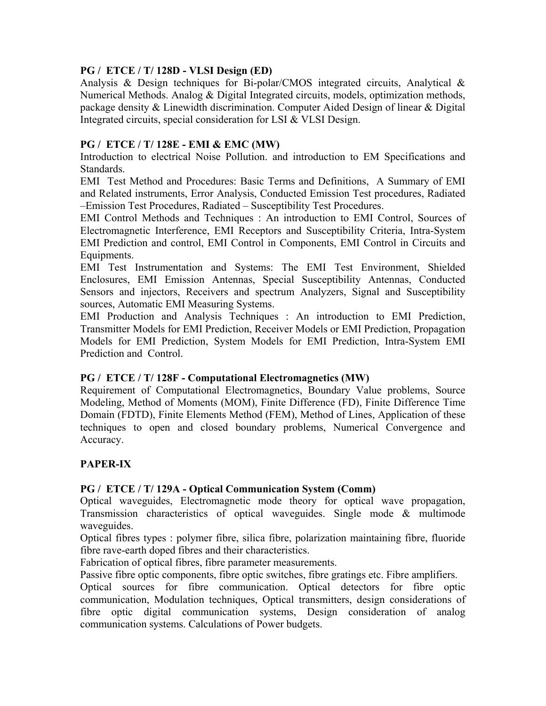### **PG / ETCE / T/ 128D - VLSI Design (ED)**

Analysis & Design techniques for Bi-polar/CMOS integrated circuits, Analytical & Numerical Methods. Analog & Digital Integrated circuits, models, optimization methods, package density & Linewidth discrimination. Computer Aided Design of linear & Digital Integrated circuits, special consideration for LSI & VLSI Design.

### **PG / ETCE / T/ 128E - EMI & EMC (MW)**

Introduction to electrical Noise Pollution. and introduction to EM Specifications and **Standards** 

EMI Test Method and Procedures: Basic Terms and Definitions, A Summary of EMI and Related instruments, Error Analysis, Conducted Emission Test procedures, Radiated –Emission Test Procedures, Radiated – Susceptibility Test Procedures.

EMI Control Methods and Techniques : An introduction to EMI Control, Sources of Electromagnetic Interference, EMI Receptors and Susceptibility Criteria, Intra-System EMI Prediction and control, EMI Control in Components, EMI Control in Circuits and Equipments.

EMI Test Instrumentation and Systems: The EMI Test Environment, Shielded Enclosures, EMI Emission Antennas, Special Susceptibility Antennas, Conducted Sensors and injectors, Receivers and spectrum Analyzers, Signal and Susceptibility sources, Automatic EMI Measuring Systems.

EMI Production and Analysis Techniques : An introduction to EMI Prediction, Transmitter Models for EMI Prediction, Receiver Models or EMI Prediction, Propagation Models for EMI Prediction, System Models for EMI Prediction, Intra-System EMI Prediction and Control.

### **PG / ETCE / T/ 128F - Computational Electromagnetics (MW)**

Requirement of Computational Electromagnetics, Boundary Value problems, Source Modeling, Method of Moments (MOM), Finite Difference (FD), Finite Difference Time Domain (FDTD), Finite Elements Method (FEM), Method of Lines, Application of these techniques to open and closed boundary problems, Numerical Convergence and Accuracy.

# **PAPER-IX**

### **PG / ETCE / T/ 129A - Optical Communication System (Comm)**

Optical waveguides, Electromagnetic mode theory for optical wave propagation, Transmission characteristics of optical waveguides. Single mode & multimode waveguides.

Optical fibres types : polymer fibre, silica fibre, polarization maintaining fibre, fluoride fibre rave-earth doped fibres and their characteristics.

Fabrication of optical fibres, fibre parameter measurements.

Passive fibre optic components, fibre optic switches, fibre gratings etc. Fibre amplifiers.

Optical sources for fibre communication. Optical detectors for fibre optic communication, Modulation techniques, Optical transmitters, design considerations of fibre optic digital communication systems, Design consideration of analog communication systems. Calculations of Power budgets.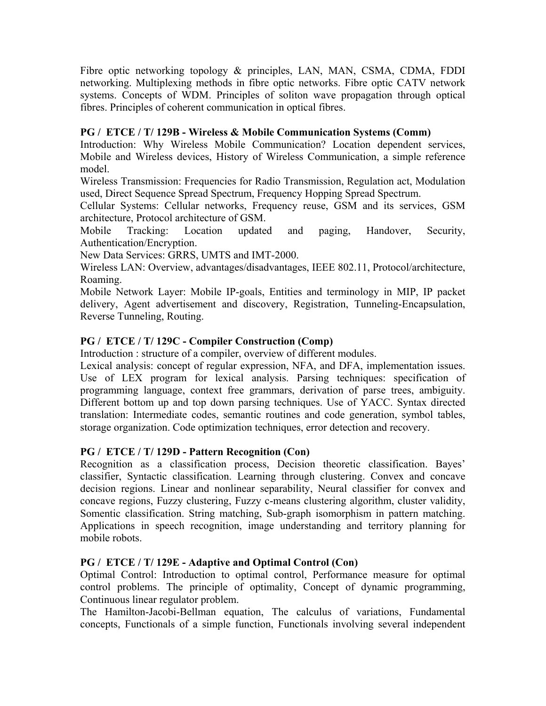Fibre optic networking topology & principles, LAN, MAN, CSMA, CDMA, FDDI networking. Multiplexing methods in fibre optic networks. Fibre optic CATV network systems. Concepts of WDM. Principles of soliton wave propagation through optical fibres. Principles of coherent communication in optical fibres.

### **PG / ETCE / T/ 129B - Wireless & Mobile Communication Systems (Comm)**

Introduction: Why Wireless Mobile Communication? Location dependent services, Mobile and Wireless devices, History of Wireless Communication, a simple reference model.

Wireless Transmission: Frequencies for Radio Transmission, Regulation act, Modulation used, Direct Sequence Spread Spectrum, Frequency Hopping Spread Spectrum.

Cellular Systems: Cellular networks, Frequency reuse, GSM and its services, GSM architecture, Protocol architecture of GSM.

Mobile Tracking: Location updated and paging, Handover, Security, Authentication/Encryption.

New Data Services: GRRS, UMTS and IMT-2000.

Wireless LAN: Overview, advantages/disadvantages, IEEE 802.11, Protocol/architecture, Roaming.

Mobile Network Layer: Mobile IP-goals, Entities and terminology in MIP, IP packet delivery, Agent advertisement and discovery, Registration, Tunneling-Encapsulation, Reverse Tunneling, Routing.

### **PG / ETCE / T/ 129C - Compiler Construction (Comp)**

Introduction : structure of a compiler, overview of different modules.

Lexical analysis: concept of regular expression, NFA, and DFA, implementation issues. Use of LEX program for lexical analysis. Parsing techniques: specification of programming language, context free grammars, derivation of parse trees, ambiguity. Different bottom up and top down parsing techniques. Use of YACC. Syntax directed translation: Intermediate codes, semantic routines and code generation, symbol tables, storage organization. Code optimization techniques, error detection and recovery.

#### **PG / ETCE / T/ 129D - Pattern Recognition (Con)**

Recognition as a classification process, Decision theoretic classification. Bayes' classifier, Syntactic classification. Learning through clustering. Convex and concave decision regions. Linear and nonlinear separability, Neural classifier for convex and concave regions, Fuzzy clustering, Fuzzy c-means clustering algorithm, cluster validity, Somentic classification. String matching, Sub-graph isomorphism in pattern matching. Applications in speech recognition, image understanding and territory planning for mobile robots.

#### **PG / ETCE / T/ 129E - Adaptive and Optimal Control (Con)**

Optimal Control: Introduction to optimal control, Performance measure for optimal control problems. The principle of optimality, Concept of dynamic programming, Continuous linear regulator problem.

The Hamilton-Jacobi-Bellman equation, The calculus of variations, Fundamental concepts, Functionals of a simple function, Functionals involving several independent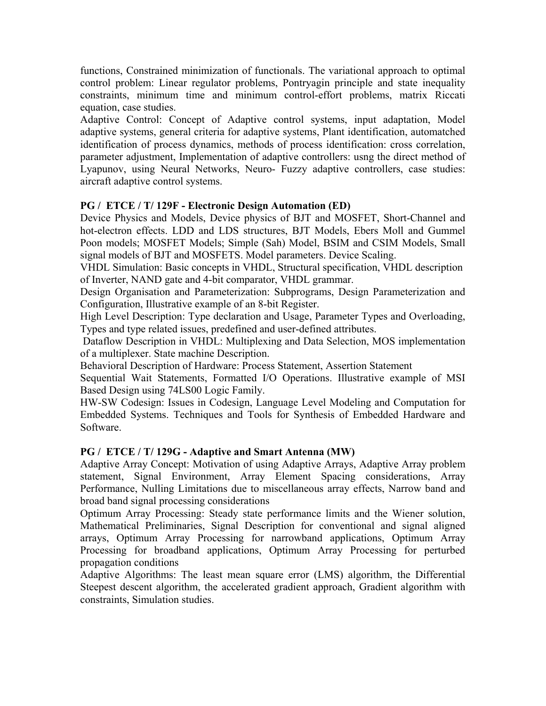functions, Constrained minimization of functionals. The variational approach to optimal control problem: Linear regulator problems, Pontryagin principle and state inequality constraints, minimum time and minimum control-effort problems, matrix Riccati equation, case studies.

Adaptive Control: Concept of Adaptive control systems, input adaptation, Model adaptive systems, general criteria for adaptive systems, Plant identification, automatched identification of process dynamics, methods of process identification: cross correlation, parameter adjustment, Implementation of adaptive controllers: usng the direct method of Lyapunov, using Neural Networks, Neuro- Fuzzy adaptive controllers, case studies: aircraft adaptive control systems.

### **PG / ETCE / T/ 129F - Electronic Design Automation (ED)**

Device Physics and Models, Device physics of BJT and MOSFET, Short-Channel and hot-electron effects. LDD and LDS structures, BJT Models, Ebers Moll and Gummel Poon models; MOSFET Models; Simple (Sah) Model, BSIM and CSIM Models, Small signal models of BJT and MOSFETS. Model parameters. Device Scaling.

VHDL Simulation: Basic concepts in VHDL, Structural specification, VHDL description of Inverter, NAND gate and 4-bit comparator, VHDL grammar.

Design Organisation and Parameterization: Subprograms, Design Parameterization and Configuration, Illustrative example of an 8-bit Register.

High Level Description: Type declaration and Usage, Parameter Types and Overloading, Types and type related issues, predefined and user-defined attributes.

 Dataflow Description in VHDL: Multiplexing and Data Selection, MOS implementation of a multiplexer. State machine Description.

Behavioral Description of Hardware: Process Statement, Assertion Statement

Sequential Wait Statements, Formatted I/O Operations. Illustrative example of MSI Based Design using 74LS00 Logic Family.

HW-SW Codesign: Issues in Codesign, Language Level Modeling and Computation for Embedded Systems. Techniques and Tools for Synthesis of Embedded Hardware and Software.

### **PG / ETCE / T/ 129G - Adaptive and Smart Antenna (MW)**

Adaptive Array Concept: Motivation of using Adaptive Arrays, Adaptive Array problem statement, Signal Environment, Array Element Spacing considerations, Array Performance, Nulling Limitations due to miscellaneous array effects, Narrow band and broad band signal processing considerations

Optimum Array Processing: Steady state performance limits and the Wiener solution, Mathematical Preliminaries, Signal Description for conventional and signal aligned arrays, Optimum Array Processing for narrowband applications, Optimum Array Processing for broadband applications, Optimum Array Processing for perturbed propagation conditions

Adaptive Algorithms: The least mean square error (LMS) algorithm, the Differential Steepest descent algorithm, the accelerated gradient approach, Gradient algorithm with constraints, Simulation studies.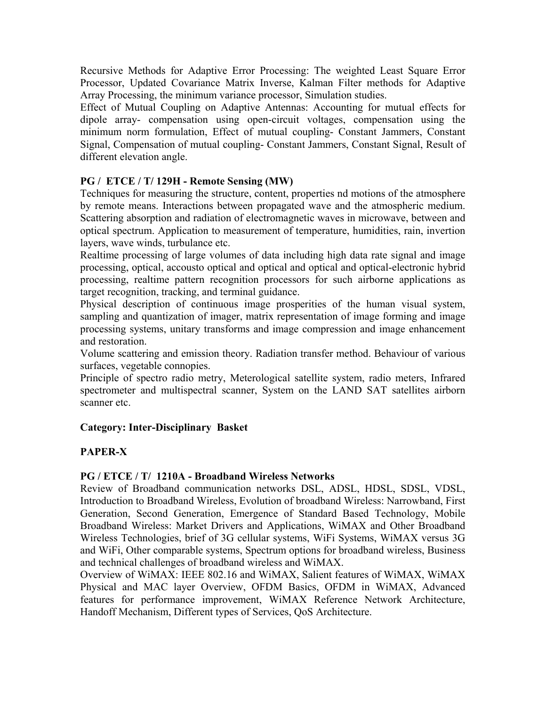Recursive Methods for Adaptive Error Processing: The weighted Least Square Error Processor, Updated Covariance Matrix Inverse, Kalman Filter methods for Adaptive Array Processing, the minimum variance processor, Simulation studies.

Effect of Mutual Coupling on Adaptive Antennas: Accounting for mutual effects for dipole array- compensation using open-circuit voltages, compensation using the minimum norm formulation, Effect of mutual coupling- Constant Jammers, Constant Signal, Compensation of mutual coupling- Constant Jammers, Constant Signal, Result of different elevation angle.

### **PG / ETCE / T/ 129H - Remote Sensing (MW)**

Techniques for measuring the structure, content, properties nd motions of the atmosphere by remote means. Interactions between propagated wave and the atmospheric medium. Scattering absorption and radiation of electromagnetic waves in microwave, between and optical spectrum. Application to measurement of temperature, humidities, rain, invertion layers, wave winds, turbulance etc.

Realtime processing of large volumes of data including high data rate signal and image processing, optical, accousto optical and optical and optical and optical-electronic hybrid processing, realtime pattern recognition processors for such airborne applications as target recognition, tracking, and terminal guidance.

Physical description of continuous image prosperities of the human visual system, sampling and quantization of imager, matrix representation of image forming and image processing systems, unitary transforms and image compression and image enhancement and restoration.

Volume scattering and emission theory. Radiation transfer method. Behaviour of various surfaces, vegetable connopies.

Principle of spectro radio metry, Meterological satellite system, radio meters, Infrared spectrometer and multispectral scanner, System on the LAND SAT satellites airborn scanner etc.

### **Category: Inter-Disciplinary Basket**

# **PAPER-X**

### **PG / ETCE / T/ 1210A - Broadband Wireless Networks**

Review of Broadband communication networks DSL, ADSL, HDSL, SDSL, VDSL, Introduction to Broadband Wireless, Evolution of broadband Wireless: Narrowband, First Generation, Second Generation, Emergence of Standard Based Technology, Mobile Broadband Wireless: Market Drivers and Applications, WiMAX and Other Broadband Wireless Technologies, brief of 3G cellular systems, WiFi Systems, WiMAX versus 3G and WiFi, Other comparable systems, Spectrum options for broadband wireless, Business and technical challenges of broadband wireless and WiMAX.

Overview of WiMAX: IEEE 802.16 and WiMAX, Salient features of WiMAX, WiMAX Physical and MAC layer Overview, OFDM Basics, OFDM in WiMAX, Advanced features for performance improvement, WiMAX Reference Network Architecture, Handoff Mechanism, Different types of Services, QoS Architecture.